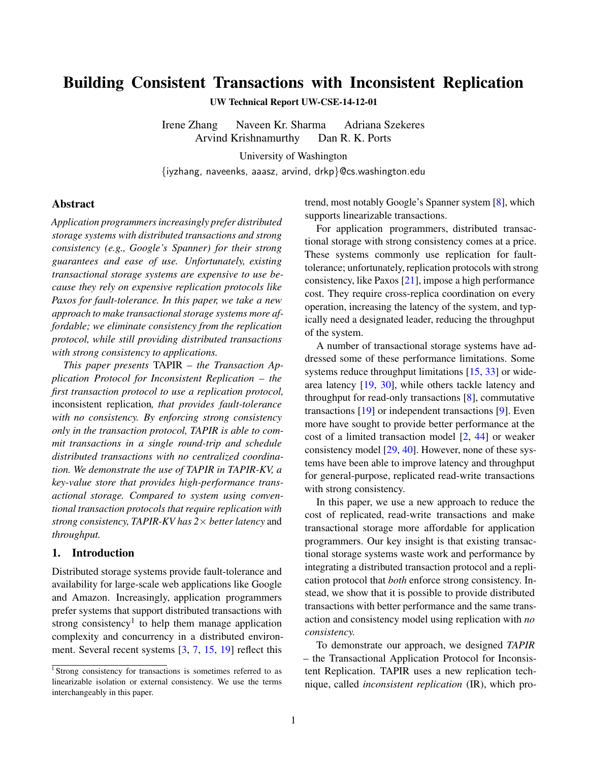# Building Consistent Transactions with Inconsistent Replication

UW Technical Report UW-CSE-14-12-01

Irene Zhang Naveen Kr. Sharma Adriana Szekeres Arvind Krishnamurthy Dan R. K. Ports

University of Washington

{iyzhang, naveenks, aaasz, arvind, drkp}@cs.washington.edu

## Abstract

*Application programmers increasingly prefer distributed storage systems with distributed transactions and strong consistency (e.g., Google's Spanner) for their strong guarantees and ease of use. Unfortunately, existing transactional storage systems are expensive to use because they rely on expensive replication protocols like Paxos for fault-tolerance. In this paper, we take a new approach to make transactional storage systems more affordable; we eliminate consistency from the replication protocol, while still providing distributed transactions with strong consistency to applications.*

*This paper presents* TAPIR *– the Transaction Application Protocol for Inconsistent Replication – the first transaction protocol to use a replication protocol,* inconsistent replication*, that provides fault-tolerance with no consistency. By enforcing strong consistency only in the transaction protocol, TAPIR is able to commit transactions in a single round-trip and schedule distributed transactions with no centralized coordination. We demonstrate the use of TAPIR in TAPIR-KV, a key-value store that provides high-performance transactional storage. Compared to system using conventional transaction protocols that require replication with strong consistency, TAPIR-KV has 2*× *better latency* and *throughput.*

## 1. Introduction

Distributed storage systems provide fault-tolerance and availability for large-scale web applications like Google and Amazon. Increasingly, application programmers prefer systems that support distributed transactions with strong consistency<sup>1</sup> to help them manage application complexity and concurrency in a distributed environment. Several recent systems [\[3,](#page-17-0) [7,](#page-17-1) [15,](#page-17-2) [19\]](#page-17-3) reflect this

trend, most notably Google's Spanner system [\[8\]](#page-17-4), which supports linearizable transactions.

For application programmers, distributed transactional storage with strong consistency comes at a price. These systems commonly use replication for faulttolerance; unfortunately, replication protocols with strong consistency, like Paxos [\[21\]](#page-17-5), impose a high performance cost. They require cross-replica coordination on every operation, increasing the latency of the system, and typically need a designated leader, reducing the throughput of the system.

A number of transactional storage systems have addressed some of these performance limitations. Some systems reduce throughput limitations [\[15,](#page-17-2) [33\]](#page-18-0) or widearea latency [\[19,](#page-17-3) [30\]](#page-18-1), while others tackle latency and throughput for read-only transactions [\[8\]](#page-17-4), commutative transactions [\[19\]](#page-17-3) or independent transactions [\[9\]](#page-17-6). Even more have sought to provide better performance at the cost of a limited transaction model [\[2,](#page-17-7) [44\]](#page-18-2) or weaker consistency model [\[29,](#page-18-3) [40\]](#page-18-4). However, none of these systems have been able to improve latency and throughput for general-purpose, replicated read-write transactions with strong consistency.

In this paper, we use a new approach to reduce the cost of replicated, read-write transactions and make transactional storage more affordable for application programmers. Our key insight is that existing transactional storage systems waste work and performance by integrating a distributed transaction protocol and a replication protocol that *both* enforce strong consistency. Instead, we show that it is possible to provide distributed transactions with better performance and the same transaction and consistency model using replication with *no consistency.*

To demonstrate our approach, we designed *TAPIR* – the Transactional Application Protocol for Inconsistent Replication. TAPIR uses a new replication technique, called *inconsistent replication* (IR), which pro-

<sup>&</sup>lt;sup>1</sup> Strong consistency for transactions is sometimes referred to as linearizable isolation or external consistency. We use the terms interchangeably in this paper.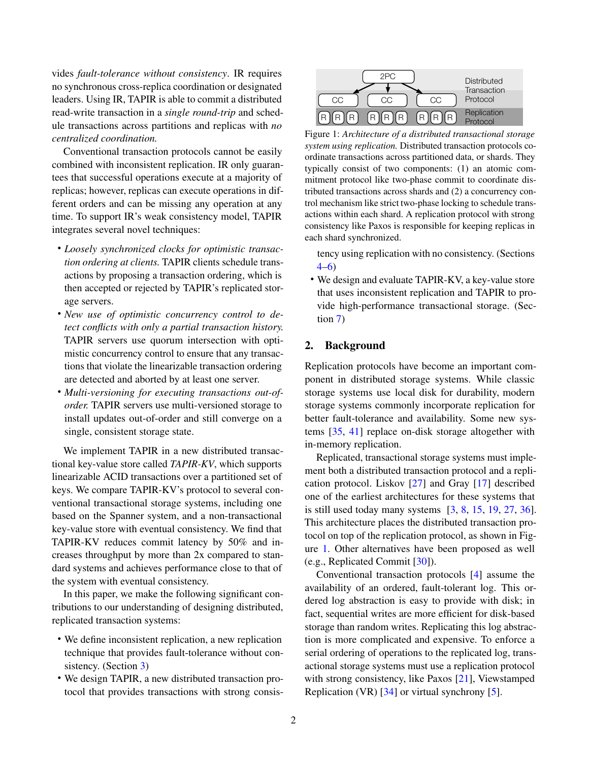vides *fault-tolerance without consistency*. IR requires no synchronous cross-replica coordination or designated leaders. Using IR, TAPIR is able to commit a distributed read-write transaction in a *single round-trip* and schedule transactions across partitions and replicas with *no centralized coordination.*

Conventional transaction protocols cannot be easily combined with inconsistent replication. IR only guarantees that successful operations execute at a majority of replicas; however, replicas can execute operations in different orders and can be missing any operation at any time. To support IR's weak consistency model, TAPIR integrates several novel techniques:

- *Loosely synchronized clocks for optimistic transaction ordering at clients.* TAPIR clients schedule transactions by proposing a transaction ordering, which is then accepted or rejected by TAPIR's replicated storage servers.
- *New use of optimistic concurrency control to detect conflicts with only a partial transaction history.* TAPIR servers use quorum intersection with optimistic concurrency control to ensure that any transactions that violate the linearizable transaction ordering are detected and aborted by at least one server.
- *Multi-versioning for executing transactions out-oforder.* TAPIR servers use multi-versioned storage to install updates out-of-order and still converge on a single, consistent storage state.

We implement TAPIR in a new distributed transactional key-value store called *TAPIR-KV*, which supports linearizable ACID transactions over a partitioned set of keys. We compare TAPIR-KV's protocol to several conventional transactional storage systems, including one based on the Spanner system, and a non-transactional key-value store with eventual consistency. We find that TAPIR-KV reduces commit latency by 50% and increases throughput by more than 2x compared to standard systems and achieves performance close to that of the system with eventual consistency.

In this paper, we make the following significant contributions to our understanding of designing distributed, replicated transaction systems:

- We define inconsistent replication, a new replication technique that provides fault-tolerance without con-sistency. (Section [3\)](#page-2-0)
- We design TAPIR, a new distributed transaction protocol that provides transactions with strong consis-

<span id="page-1-0"></span>

Figure 1: *Architecture of a distributed transactional storage system using replication.* Distributed transaction protocols coordinate transactions across partitioned data, or shards. They typically consist of two components: (1) an atomic commitment protocol like two-phase commit to coordinate distributed transactions across shards and (2) a concurrency control mechanism like strict two-phase locking to schedule transactions within each shard. A replication protocol with strong consistency like Paxos is responsible for keeping replicas in each shard synchronized.

tency using replication with no consistency. (Sections [4](#page-6-0)[–6\)](#page-11-0)

• We design and evaluate TAPIR-KV, a key-value store that uses inconsistent replication and TAPIR to provide high-performance transactional storage. (Section [7\)](#page-13-0)

# 2. Background

Replication protocols have become an important component in distributed storage systems. While classic storage systems use local disk for durability, modern storage systems commonly incorporate replication for better fault-tolerance and availability. Some new systems [\[35,](#page-18-5) [41\]](#page-18-6) replace on-disk storage altogether with in-memory replication.

Replicated, transactional storage systems must implement both a distributed transaction protocol and a replication protocol. Liskov [\[27\]](#page-18-7) and Gray [\[17\]](#page-17-8) described one of the earliest architectures for these systems that is still used today many systems  $\begin{bmatrix} 3, 8, 15, 19, 27, 36 \end{bmatrix}$  $\begin{bmatrix} 3, 8, 15, 19, 27, 36 \end{bmatrix}$  $\begin{bmatrix} 3, 8, 15, 19, 27, 36 \end{bmatrix}$  $\begin{bmatrix} 3, 8, 15, 19, 27, 36 \end{bmatrix}$  $\begin{bmatrix} 3, 8, 15, 19, 27, 36 \end{bmatrix}$  $\begin{bmatrix} 3, 8, 15, 19, 27, 36 \end{bmatrix}$  $\begin{bmatrix} 3, 8, 15, 19, 27, 36 \end{bmatrix}$  $\begin{bmatrix} 3, 8, 15, 19, 27, 36 \end{bmatrix}$  $\begin{bmatrix} 3, 8, 15, 19, 27, 36 \end{bmatrix}$ . This architecture places the distributed transaction protocol on top of the replication protocol, as shown in Figure [1.](#page-1-0) Other alternatives have been proposed as well (e.g., Replicated Commit [\[30\]](#page-18-1)).

Conventional transaction protocols [\[4\]](#page-17-9) assume the availability of an ordered, fault-tolerant log. This ordered log abstraction is easy to provide with disk; in fact, sequential writes are more efficient for disk-based storage than random writes. Replicating this log abstraction is more complicated and expensive. To enforce a serial ordering of operations to the replicated log, transactional storage systems must use a replication protocol with strong consistency, like Paxos [\[21\]](#page-17-5), Viewstamped Replication (VR) [\[34\]](#page-18-9) or virtual synchrony [\[5\]](#page-17-10).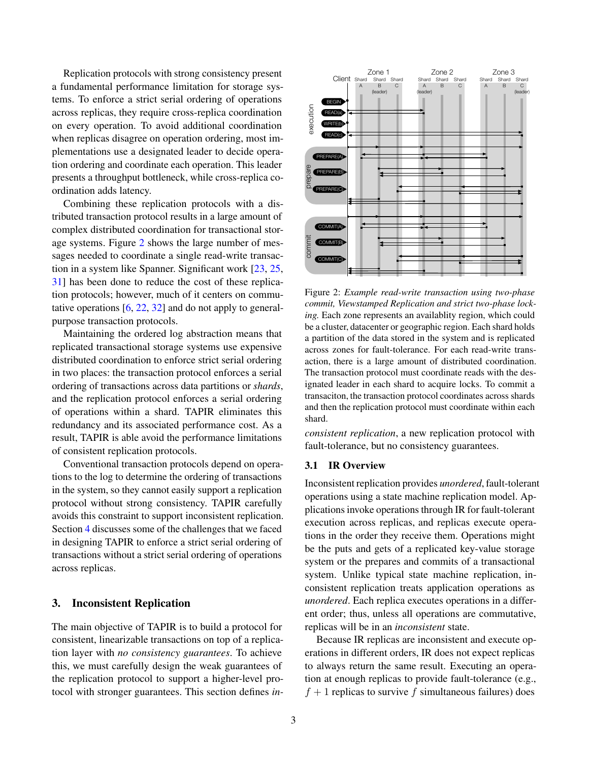Replication protocols with strong consistency present a fundamental performance limitation for storage systems. To enforce a strict serial ordering of operations across replicas, they require cross-replica coordination on every operation. To avoid additional coordination when replicas disagree on operation ordering, most implementations use a designated leader to decide operation ordering and coordinate each operation. This leader presents a throughput bottleneck, while cross-replica coordination adds latency.

Combining these replication protocols with a distributed transaction protocol results in a large amount of complex distributed coordination for transactional storage systems. Figure [2](#page-2-1) shows the large number of messages needed to coordinate a single read-write transaction in a system like Spanner. Significant work [\[23,](#page-17-11) [25,](#page-17-12) [31\]](#page-18-10) has been done to reduce the cost of these replication protocols; however, much of it centers on commutative operations [\[6,](#page-17-13) [22,](#page-17-14) [32\]](#page-18-11) and do not apply to generalpurpose transaction protocols.

Maintaining the ordered log abstraction means that replicated transactional storage systems use expensive distributed coordination to enforce strict serial ordering in two places: the transaction protocol enforces a serial ordering of transactions across data partitions or *shards*, and the replication protocol enforces a serial ordering of operations within a shard. TAPIR eliminates this redundancy and its associated performance cost. As a result, TAPIR is able avoid the performance limitations of consistent replication protocols.

Conventional transaction protocols depend on operations to the log to determine the ordering of transactions in the system, so they cannot easily support a replication protocol without strong consistency. TAPIR carefully avoids this constraint to support inconsistent replication. Section [4](#page-6-0) discusses some of the challenges that we faced in designing TAPIR to enforce a strict serial ordering of transactions without a strict serial ordering of operations across replicas.

## <span id="page-2-0"></span>3. Inconsistent Replication

The main objective of TAPIR is to build a protocol for consistent, linearizable transactions on top of a replication layer with *no consistency guarantees*. To achieve this, we must carefully design the weak guarantees of the replication protocol to support a higher-level protocol with stronger guarantees. This section defines *in-*

<span id="page-2-1"></span>

Figure 2: *Example read-write transaction using two-phase commit, Viewstamped Replication and strict two-phase locking.* Each zone represents an availablity region, which could be a cluster, datacenter or geographic region. Each shard holds a partition of the data stored in the system and is replicated across zones for fault-tolerance. For each read-write transaction, there is a large amount of distributed coordination. The transaction protocol must coordinate reads with the designated leader in each shard to acquire locks. To commit a transaciton, the transaction protocol coordinates across shards and then the replication protocol must coordinate within each shard.

*consistent replication*, a new replication protocol with fault-tolerance, but no consistency guarantees.

## 3.1 IR Overview

Inconsistent replication provides *unordered*, fault-tolerant operations using a state machine replication model. Applications invoke operations through IR for fault-tolerant execution across replicas, and replicas execute operations in the order they receive them. Operations might be the puts and gets of a replicated key-value storage system or the prepares and commits of a transactional system. Unlike typical state machine replication, inconsistent replication treats application operations as *unordered*. Each replica executes operations in a different order; thus, unless all operations are commutative, replicas will be in an *inconsistent* state.

Because IR replicas are inconsistent and execute operations in different orders, IR does not expect replicas to always return the same result. Executing an operation at enough replicas to provide fault-tolerance (e.g.,  $f + 1$  replicas to survive f simultaneous failures) does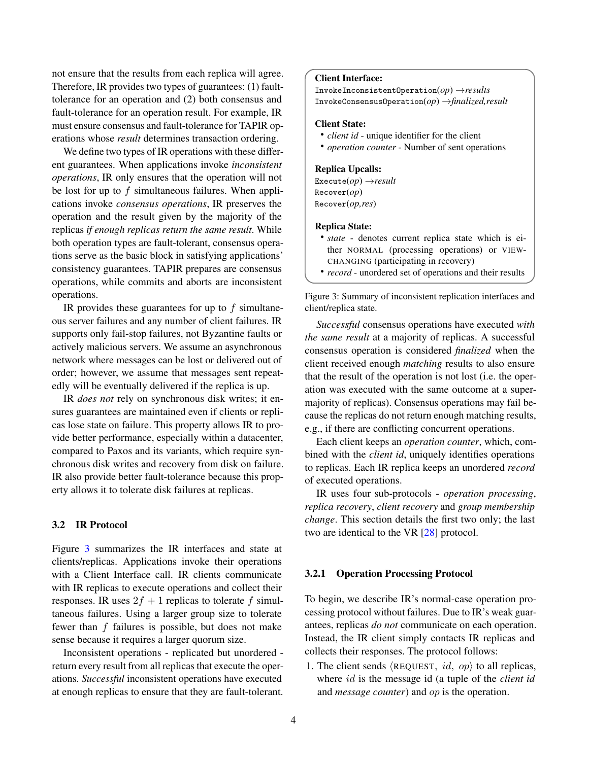not ensure that the results from each replica will agree. Therefore, IR provides two types of guarantees: (1) faulttolerance for an operation and (2) both consensus and fault-tolerance for an operation result. For example, IR must ensure consensus and fault-tolerance for TAPIR operations whose *result* determines transaction ordering.

We define two types of IR operations with these different guarantees. When applications invoke *inconsistent operations*, IR only ensures that the operation will not be lost for up to  $f$  simultaneous failures. When applications invoke *consensus operations*, IR preserves the operation and the result given by the majority of the replicas *if enough replicas return the same result*. While both operation types are fault-tolerant, consensus operations serve as the basic block in satisfying applications' consistency guarantees. TAPIR prepares are consensus operations, while commits and aborts are inconsistent operations.

IR provides these guarantees for up to  $f$  simultaneous server failures and any number of client failures. IR supports only fail-stop failures, not Byzantine faults or actively malicious servers. We assume an asynchronous network where messages can be lost or delivered out of order; however, we assume that messages sent repeatedly will be eventually delivered if the replica is up.

IR *does not* rely on synchronous disk writes; it ensures guarantees are maintained even if clients or replicas lose state on failure. This property allows IR to provide better performance, especially within a datacenter, compared to Paxos and its variants, which require synchronous disk writes and recovery from disk on failure. IR also provide better fault-tolerance because this property allows it to tolerate disk failures at replicas.

## 3.2 IR Protocol

Figure [3](#page-3-0) summarizes the IR interfaces and state at clients/replicas. Applications invoke their operations with a Client Interface call. IR clients communicate with IR replicas to execute operations and collect their responses. IR uses  $2f + 1$  replicas to tolerate f simultaneous failures. Using a larger group size to tolerate fewer than  $f$  failures is possible, but does not make sense because it requires a larger quorum size.

Inconsistent operations - replicated but unordered return every result from all replicas that execute the operations. *Successful* inconsistent operations have executed at enough replicas to ensure that they are fault-tolerant.

#### <span id="page-3-0"></span>Client Interface:

InvokeInconsistentOperation(*op*) →*results* InvokeConsensusOperation(*op*) →*finalized,result*

#### Client State:

- *client id* unique identifier for the client
- *operation counter* Number of sent operations

#### Replica Upcalls:

Execute(*op*) →*result* Recover(*op*) Recover(*op,res*)

#### Replica State:

- *state* denotes current replica state which is either NORMAL (processing operations) or VIEW-CHANGING (participating in recovery)
- *record* unordered set of operations and their results

Figure 3: Summary of inconsistent replication interfaces and client/replica state.

*Successful* consensus operations have executed *with the same result* at a majority of replicas. A successful consensus operation is considered *finalized* when the client received enough *matching* results to also ensure that the result of the operation is not lost (i.e. the operation was executed with the same outcome at a supermajority of replicas). Consensus operations may fail because the replicas do not return enough matching results, e.g., if there are conflicting concurrent operations.

Each client keeps an *operation counter*, which, combined with the *client id*, uniquely identifies operations to replicas. Each IR replica keeps an unordered *record* of executed operations.

IR uses four sub-protocols - *operation processing*, *replica recovery*, *client recovery* and *group membership change*. This section details the first two only; the last two are identical to the VR [\[28\]](#page-18-12) protocol.

#### 3.2.1 Operation Processing Protocol

To begin, we describe IR's normal-case operation processing protocol without failures. Due to IR's weak guarantees, replicas *do not* communicate on each operation. Instead, the IR client simply contacts IR replicas and collects their responses. The protocol follows:

1. The client sends  $\langle$ REQUEST, *id*, *op* $\rangle$  to all replicas, where id is the message id (a tuple of the *client id* and *message counter*) and op is the operation.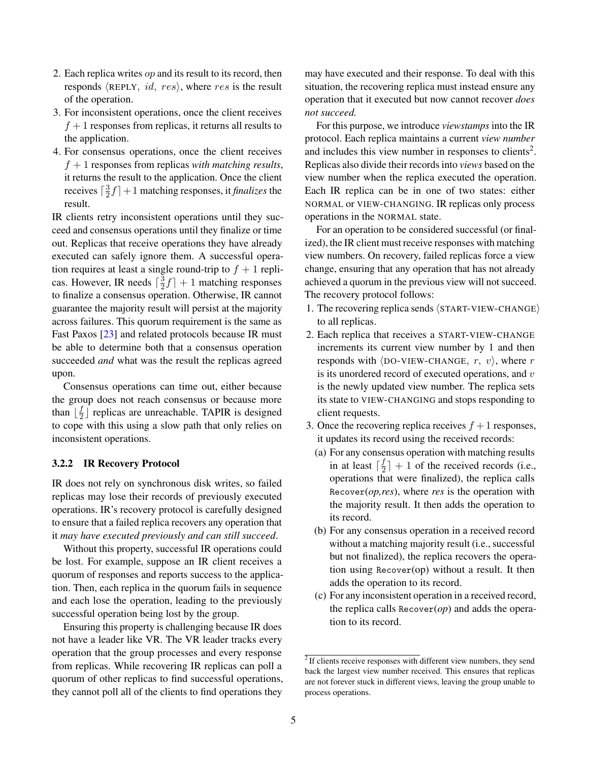- 2. Each replica writes  $op$  and its result to its record, then responds  $\langle$ REPLY, *id, res* $\rangle$ , where *res* is the result of the operation.
- 3. For inconsistent operations, once the client receives  $f + 1$  responses from replicas, it returns all results to the application.
- 4. For consensus operations, once the client receives  $f + 1$  responses from replicas *with matching results*, it returns the result to the application. Once the client receives  $\lceil \frac{3}{2} \rceil$  $\frac{3}{2}f$  + 1 matching responses, it *finalizes* the result.

IR clients retry inconsistent operations until they succeed and consensus operations until they finalize or time out. Replicas that receive operations they have already executed can safely ignore them. A successful operation requires at least a single round-trip to  $f + 1$  replicas. However, IR needs  $\lceil \frac{3}{2} \rceil$  $\frac{3}{2}f$  + 1 matching responses to finalize a consensus operation. Otherwise, IR cannot guarantee the majority result will persist at the majority across failures. This quorum requirement is the same as Fast Paxos [\[23\]](#page-17-11) and related protocols because IR must be able to determine both that a consensus operation succeeded *and* what was the result the replicas agreed upon.

Consensus operations can time out, either because the group does not reach consensus or because more than  $\lfloor \frac{f}{2} \rfloor$  $\frac{J}{2}$  replicas are unreachable. TAPIR is designed to cope with this using a slow path that only relies on inconsistent operations.

#### 3.2.2 IR Recovery Protocol

IR does not rely on synchronous disk writes, so failed replicas may lose their records of previously executed operations. IR's recovery protocol is carefully designed to ensure that a failed replica recovers any operation that it *may have executed previously and can still succeed*.

Without this property, successful IR operations could be lost. For example, suppose an IR client receives a quorum of responses and reports success to the application. Then, each replica in the quorum fails in sequence and each lose the operation, leading to the previously successful operation being lost by the group.

Ensuring this property is challenging because IR does not have a leader like VR. The VR leader tracks every operation that the group processes and every response from replicas. While recovering IR replicas can poll a quorum of other replicas to find successful operations, they cannot poll all of the clients to find operations they may have executed and their response. To deal with this situation, the recovering replica must instead ensure any operation that it executed but now cannot recover *does not succeed.*

For this purpose, we introduce *viewstamps* into the IR protocol. Each replica maintains a current *view number* and includes this view number in responses to clients<sup>2</sup>. Replicas also divide their records into *views* based on the view number when the replica executed the operation. Each IR replica can be in one of two states: either NORMAL or VIEW-CHANGING. IR replicas only process operations in the NORMAL state.

For an operation to be considered successful (or finalized), the IR client must receive responses with matching view numbers. On recovery, failed replicas force a view change, ensuring that any operation that has not already achieved a quorum in the previous view will not succeed. The recovery protocol follows:

- 1. The recovering replica sends  $\langle$  START-VIEW-CHANGE $\rangle$ to all replicas.
- 2. Each replica that receives a START-VIEW-CHANGE increments its current view number by 1 and then responds with  $\langle$ DO-VIEW-CHANGE, r, v $\rangle$ , where r is its unordered record of executed operations, and  $v$ is the newly updated view number. The replica sets its state to VIEW-CHANGING and stops responding to client requests.
- 3. Once the recovering replica receives  $f + 1$  responses, it updates its record using the received records:
	- (a) For any consensus operation with matching results in at least  $\lceil \frac{f}{2} \rceil$  $\frac{d}{2}$  + 1 of the received records (i.e., operations that were finalized), the replica calls Recover(*op,res*), where *res* is the operation with the majority result. It then adds the operation to its record.
	- (b) For any consensus operation in a received record without a matching majority result (i.e., successful but not finalized), the replica recovers the operation using Recover(op) without a result. It then adds the operation to its record.
	- (c) For any inconsistent operation in a received record, the replica calls Recover(*op*) and adds the operation to its record.

 $2$  If clients receive responses with different view numbers, they send back the largest view number received. This ensures that replicas are not forever stuck in different views, leaving the group unable to process operations.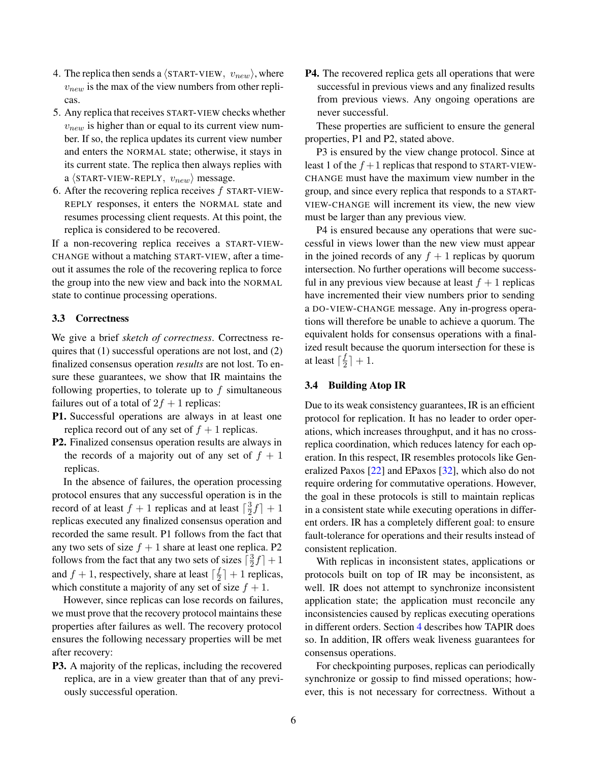- 4. The replica then sends a  $\langle$ START-VIEW,  $v_{new}$ , where  $v_{new}$  is the max of the view numbers from other replicas.
- 5. Any replica that receives START-VIEW checks whether  $v_{new}$  is higher than or equal to its current view number. If so, the replica updates its current view number and enters the NORMAL state; otherwise, it stays in its current state. The replica then always replies with a  $\langle$ START-VIEW-REPLY,  $v_{new}$  message.
- 6. After the recovering replica receives  $f$  START-VIEW-REPLY responses, it enters the NORMAL state and resumes processing client requests. At this point, the replica is considered to be recovered.

If a non-recovering replica receives a START-VIEW-CHANGE without a matching START-VIEW, after a timeout it assumes the role of the recovering replica to force the group into the new view and back into the NORMAL state to continue processing operations.

# 3.3 Correctness

We give a brief *sketch of correctness*. Correctness requires that (1) successful operations are not lost, and (2) finalized consensus operation *results* are not lost. To ensure these guarantees, we show that IR maintains the following properties, to tolerate up to  $f$  simultaneous failures out of a total of  $2f + 1$  replicas:

- P1. Successful operations are always in at least one replica record out of any set of  $f + 1$  replicas.
- P2. Finalized consensus operation results are always in the records of a majority out of any set of  $f + 1$ replicas.

In the absence of failures, the operation processing protocol ensures that any successful operation is in the record of at least  $f + 1$  replicas and at least  $\lceil \frac{3}{2} \rceil$  $\frac{3}{2}f$  | + 1 replicas executed any finalized consensus operation and recorded the same result. P1 follows from the fact that any two sets of size  $f + 1$  share at least one replica. P2 follows from the fact that any two sets of sizes  $\left[\frac{3}{2}\right]$  $\frac{3}{2}f$  | + 1 and  $f + 1$ , respectively, share at least  $\lceil \frac{f}{2} \rceil$  $\frac{J}{2}$  + 1 replicas, which constitute a majority of any set of size  $f + 1$ .

However, since replicas can lose records on failures, we must prove that the recovery protocol maintains these properties after failures as well. The recovery protocol ensures the following necessary properties will be met after recovery:

P3. A majority of the replicas, including the recovered replica, are in a view greater than that of any previously successful operation.

P4. The recovered replica gets all operations that were successful in previous views and any finalized results from previous views. Any ongoing operations are never successful.

These properties are sufficient to ensure the general properties, P1 and P2, stated above.

P3 is ensured by the view change protocol. Since at least 1 of the  $f + 1$  replicas that respond to START-VIEW-CHANGE must have the maximum view number in the group, and since every replica that responds to a START-VIEW-CHANGE will increment its view, the new view must be larger than any previous view.

P4 is ensured because any operations that were successful in views lower than the new view must appear in the joined records of any  $f + 1$  replicas by quorum intersection. No further operations will become successful in any previous view because at least  $f + 1$  replicas have incremented their view numbers prior to sending a DO-VIEW-CHANGE message. Any in-progress operations will therefore be unable to achieve a quorum. The equivalent holds for consensus operations with a finalized result because the quorum intersection for these is at least  $\lceil \frac{f}{2} \rceil$  $\frac{J}{2}$ ] + 1.

## 3.4 Building Atop IR

Due to its weak consistency guarantees, IR is an efficient protocol for replication. It has no leader to order operations, which increases throughput, and it has no crossreplica coordination, which reduces latency for each operation. In this respect, IR resembles protocols like Generalized Paxos [\[22\]](#page-17-14) and EPaxos [\[32\]](#page-18-11), which also do not require ordering for commutative operations. However, the goal in these protocols is still to maintain replicas in a consistent state while executing operations in different orders. IR has a completely different goal: to ensure fault-tolerance for operations and their results instead of consistent replication.

With replicas in inconsistent states, applications or protocols built on top of IR may be inconsistent, as well. IR does not attempt to synchronize inconsistent application state; the application must reconcile any inconsistencies caused by replicas executing operations in different orders. Section [4](#page-6-0) describes how TAPIR does so. In addition, IR offers weak liveness guarantees for consensus operations.

For checkpointing purposes, replicas can periodically synchronize or gossip to find missed operations; however, this is not necessary for correctness. Without a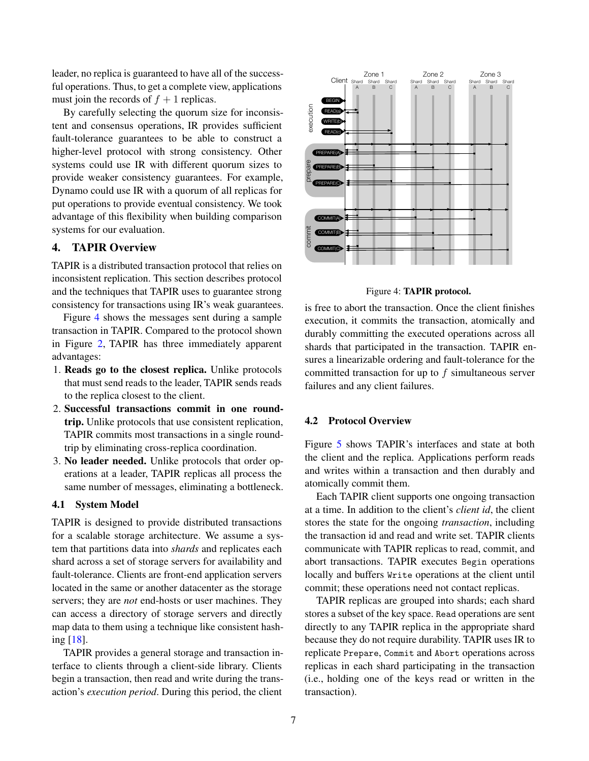leader, no replica is guaranteed to have all of the successful operations. Thus, to get a complete view, applications must join the records of  $f + 1$  replicas.

By carefully selecting the quorum size for inconsistent and consensus operations, IR provides sufficient fault-tolerance guarantees to be able to construct a higher-level protocol with strong consistency. Other systems could use IR with different quorum sizes to provide weaker consistency guarantees. For example, Dynamo could use IR with a quorum of all replicas for put operations to provide eventual consistency. We took advantage of this flexibility when building comparison systems for our evaluation.

# <span id="page-6-0"></span>4. TAPIR Overview

TAPIR is a distributed transaction protocol that relies on inconsistent replication. This section describes protocol and the techniques that TAPIR uses to guarantee strong consistency for transactions using IR's weak guarantees.

Figure [4](#page-6-1) shows the messages sent during a sample transaction in TAPIR. Compared to the protocol shown in Figure [2,](#page-2-1) TAPIR has three immediately apparent advantages:

- 1. Reads go to the closest replica. Unlike protocols that must send reads to the leader, TAPIR sends reads to the replica closest to the client.
- 2. Successful transactions commit in one roundtrip. Unlike protocols that use consistent replication, TAPIR commits most transactions in a single roundtrip by eliminating cross-replica coordination.
- 3. No leader needed. Unlike protocols that order operations at a leader, TAPIR replicas all process the same number of messages, eliminating a bottleneck.

### 4.1 System Model

TAPIR is designed to provide distributed transactions for a scalable storage architecture. We assume a system that partitions data into *shards* and replicates each shard across a set of storage servers for availability and fault-tolerance. Clients are front-end application servers located in the same or another datacenter as the storage servers; they are *not* end-hosts or user machines. They can access a directory of storage servers and directly map data to them using a technique like consistent hashing [\[18\]](#page-17-15).

TAPIR provides a general storage and transaction interface to clients through a client-side library. Clients begin a transaction, then read and write during the transaction's *execution period*. During this period, the client

<span id="page-6-1"></span>

Figure 4: TAPIR protocol.

is free to abort the transaction. Once the client finishes execution, it commits the transaction, atomically and durably committing the executed operations across all shards that participated in the transaction. TAPIR ensures a linearizable ordering and fault-tolerance for the committed transaction for up to f simultaneous server failures and any client failures.

#### 4.2 Protocol Overview

Figure [5](#page-7-0) shows TAPIR's interfaces and state at both the client and the replica. Applications perform reads and writes within a transaction and then durably and atomically commit them.

Each TAPIR client supports one ongoing transaction at a time. In addition to the client's *client id*, the client stores the state for the ongoing *transaction*, including the transaction id and read and write set. TAPIR clients communicate with TAPIR replicas to read, commit, and abort transactions. TAPIR executes Begin operations locally and buffers Write operations at the client until commit; these operations need not contact replicas.

TAPIR replicas are grouped into shards; each shard stores a subset of the key space. Read operations are sent directly to any TAPIR replica in the appropriate shard because they do not require durability. TAPIR uses IR to replicate Prepare, Commit and Abort operations across replicas in each shard participating in the transaction (i.e., holding one of the keys read or written in the transaction).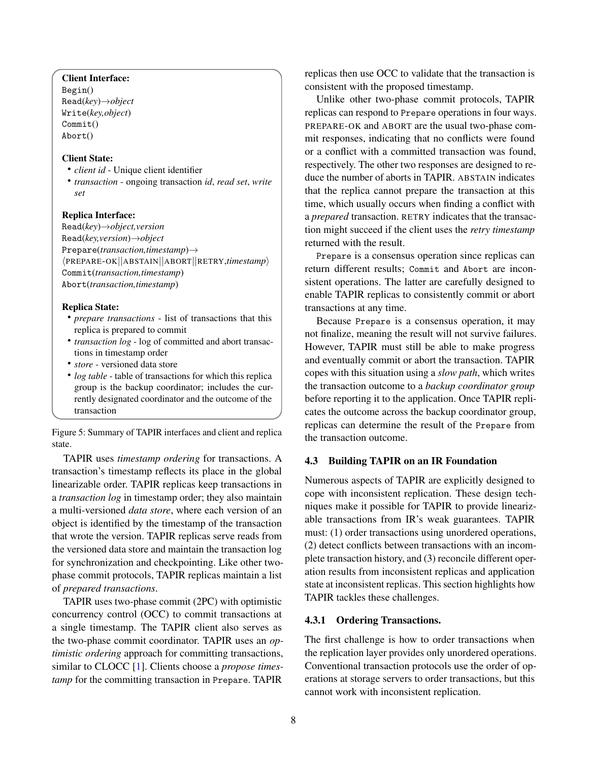# <span id="page-7-0"></span>Client Interface:

Begin() Read(*key*)→*object* Write(*key,object*) Commit() Abort()

# Client State:

- *client id* Unique client identifier
- *transaction* ongoing transaction *id*, *read set*, *write set*

#### Replica Interface:

Read(*key*)→*object,version* Read(*key,version*)→*object* Prepare(*transaction,timestamp*)→ hPREPARE-OK||ABSTAIN||ABORT||RETRY,*timestamp*i Commit(*transaction,timestamp*) Abort(*transaction,timestamp*)

#### Replica State:

- *prepare transactions* list of transactions that this replica is prepared to commit
- *transaction log* log of committed and abort transactions in timestamp order
- *store* versioned data store
- *log table* table of transactions for which this replica group is the backup coordinator; includes the currently designated coordinator and the outcome of the transaction

Figure 5: Summary of TAPIR interfaces and client and replica state.

TAPIR uses *timestamp ordering* for transactions. A transaction's timestamp reflects its place in the global linearizable order. TAPIR replicas keep transactions in a *transaction log* in timestamp order; they also maintain a multi-versioned *data store*, where each version of an object is identified by the timestamp of the transaction that wrote the version. TAPIR replicas serve reads from the versioned data store and maintain the transaction log for synchronization and checkpointing. Like other twophase commit protocols, TAPIR replicas maintain a list of *prepared transactions*.

TAPIR uses two-phase commit (2PC) with optimistic concurrency control (OCC) to commit transactions at a single timestamp. The TAPIR client also serves as the two-phase commit coordinator. TAPIR uses an *optimistic ordering* approach for committing transactions, similar to CLOCC [\[1\]](#page-17-16). Clients choose a *propose timestamp* for the committing transaction in Prepare. TAPIR

replicas then use OCC to validate that the transaction is consistent with the proposed timestamp.

Unlike other two-phase commit protocols, TAPIR replicas can respond to Prepare operations in four ways. PREPARE-OK and ABORT are the usual two-phase commit responses, indicating that no conflicts were found or a conflict with a committed transaction was found, respectively. The other two responses are designed to reduce the number of aborts in TAPIR. ABSTAIN indicates that the replica cannot prepare the transaction at this time, which usually occurs when finding a conflict with a *prepared* transaction. RETRY indicates that the transaction might succeed if the client uses the *retry timestamp* returned with the result.

Prepare is a consensus operation since replicas can return different results; Commit and Abort are inconsistent operations. The latter are carefully designed to enable TAPIR replicas to consistently commit or abort transactions at any time.

Because Prepare is a consensus operation, it may not finalize, meaning the result will not survive failures. However, TAPIR must still be able to make progress and eventually commit or abort the transaction. TAPIR copes with this situation using a *slow path*, which writes the transaction outcome to a *backup coordinator group* before reporting it to the application. Once TAPIR replicates the outcome across the backup coordinator group, replicas can determine the result of the Prepare from the transaction outcome.

#### 4.3 Building TAPIR on an IR Foundation

Numerous aspects of TAPIR are explicitly designed to cope with inconsistent replication. These design techniques make it possible for TAPIR to provide linearizable transactions from IR's weak guarantees. TAPIR must: (1) order transactions using unordered operations, (2) detect conflicts between transactions with an incomplete transaction history, and (3) reconcile different operation results from inconsistent replicas and application state at inconsistent replicas. This section highlights how TAPIR tackles these challenges.

#### 4.3.1 Ordering Transactions.

The first challenge is how to order transactions when the replication layer provides only unordered operations. Conventional transaction protocols use the order of operations at storage servers to order transactions, but this cannot work with inconsistent replication.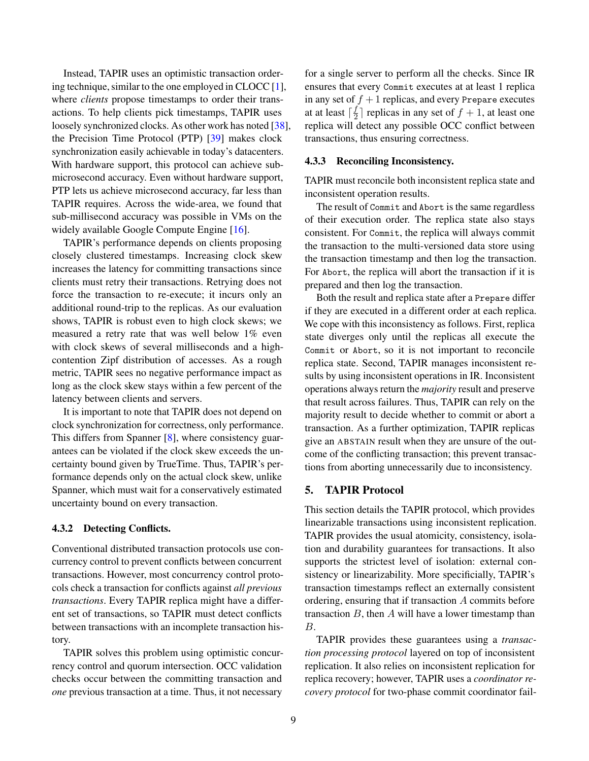Instead, TAPIR uses an optimistic transaction ordering technique, similar to the one employed in CLOCC  $[1]$ , where *clients* propose timestamps to order their transactions. To help clients pick timestamps, TAPIR uses loosely synchronized clocks. As other work has noted [\[38\]](#page-18-13), the Precision Time Protocol (PTP) [\[39\]](#page-18-14) makes clock synchronization easily achievable in today's datacenters. With hardware support, this protocol can achieve submicrosecond accuracy. Even without hardware support, PTP lets us achieve microsecond accuracy, far less than TAPIR requires. Across the wide-area, we found that sub-millisecond accuracy was possible in VMs on the widely available Google Compute Engine [\[16\]](#page-17-17).

TAPIR's performance depends on clients proposing closely clustered timestamps. Increasing clock skew increases the latency for committing transactions since clients must retry their transactions. Retrying does not force the transaction to re-execute; it incurs only an additional round-trip to the replicas. As our evaluation shows, TAPIR is robust even to high clock skews; we measured a retry rate that was well below 1% even with clock skews of several milliseconds and a highcontention Zipf distribution of accesses. As a rough metric, TAPIR sees no negative performance impact as long as the clock skew stays within a few percent of the latency between clients and servers.

It is important to note that TAPIR does not depend on clock synchronization for correctness, only performance. This differs from Spanner [\[8\]](#page-17-4), where consistency guarantees can be violated if the clock skew exceeds the uncertainty bound given by TrueTime. Thus, TAPIR's performance depends only on the actual clock skew, unlike Spanner, which must wait for a conservatively estimated uncertainty bound on every transaction.

## 4.3.2 Detecting Conflicts.

Conventional distributed transaction protocols use concurrency control to prevent conflicts between concurrent transactions. However, most concurrency control protocols check a transaction for conflicts against *all previous transactions*. Every TAPIR replica might have a different set of transactions, so TAPIR must detect conflicts between transactions with an incomplete transaction history.

TAPIR solves this problem using optimistic concurrency control and quorum intersection. OCC validation checks occur between the committing transaction and *one* previous transaction at a time. Thus, it not necessary

for a single server to perform all the checks. Since IR ensures that every Commit executes at at least 1 replica in any set of  $f + 1$  replicas, and every Prepare executes at at least  $\lceil \frac{f}{2} \rceil$  $\frac{J}{2}$  replicas in any set of  $f + 1$ , at least one replica will detect any possible OCC conflict between transactions, thus ensuring correctness.

#### 4.3.3 Reconciling Inconsistency.

TAPIR must reconcile both inconsistent replica state and inconsistent operation results.

The result of Commit and Abort is the same regardless of their execution order. The replica state also stays consistent. For Commit, the replica will always commit the transaction to the multi-versioned data store using the transaction timestamp and then log the transaction. For Abort, the replica will abort the transaction if it is prepared and then log the transaction.

Both the result and replica state after a Prepare differ if they are executed in a different order at each replica. We cope with this inconsistency as follows. First, replica state diverges only until the replicas all execute the Commit or Abort, so it is not important to reconcile replica state. Second, TAPIR manages inconsistent results by using inconsistent operations in IR. Inconsistent operations always return the *majority* result and preserve that result across failures. Thus, TAPIR can rely on the majority result to decide whether to commit or abort a transaction. As a further optimization, TAPIR replicas give an ABSTAIN result when they are unsure of the outcome of the conflicting transaction; this prevent transactions from aborting unnecessarily due to inconsistency.

## 5. TAPIR Protocol

This section details the TAPIR protocol, which provides linearizable transactions using inconsistent replication. TAPIR provides the usual atomicity, consistency, isolation and durability guarantees for transactions. It also supports the strictest level of isolation: external consistency or linearizability. More specificially, TAPIR's transaction timestamps reflect an externally consistent ordering, ensuring that if transaction A commits before transaction  $B$ , then  $A$  will have a lower timestamp than B.

TAPIR provides these guarantees using a *transaction processing protocol* layered on top of inconsistent replication. It also relies on inconsistent replication for replica recovery; however, TAPIR uses a *coordinator recovery protocol* for two-phase commit coordinator fail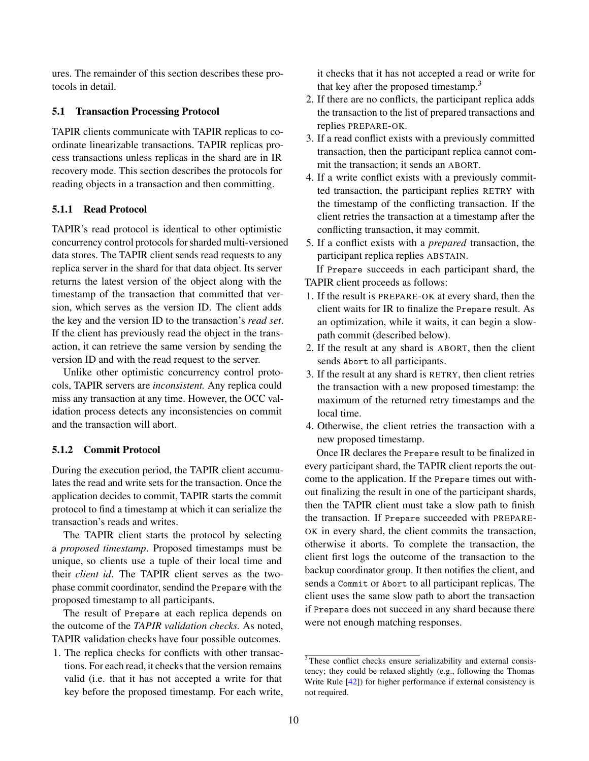ures. The remainder of this section describes these protocols in detail.

# 5.1 Transaction Processing Protocol

TAPIR clients communicate with TAPIR replicas to coordinate linearizable transactions. TAPIR replicas process transactions unless replicas in the shard are in IR recovery mode. This section describes the protocols for reading objects in a transaction and then committing.

# 5.1.1 Read Protocol

TAPIR's read protocol is identical to other optimistic concurrency control protocols for sharded multi-versioned data stores. The TAPIR client sends read requests to any replica server in the shard for that data object. Its server returns the latest version of the object along with the timestamp of the transaction that committed that version, which serves as the version ID. The client adds the key and the version ID to the transaction's *read set*. If the client has previously read the object in the transaction, it can retrieve the same version by sending the version ID and with the read request to the server.

Unlike other optimistic concurrency control protocols, TAPIR servers are *inconsistent.* Any replica could miss any transaction at any time. However, the OCC validation process detects any inconsistencies on commit and the transaction will abort.

## 5.1.2 Commit Protocol

During the execution period, the TAPIR client accumulates the read and write sets for the transaction. Once the application decides to commit, TAPIR starts the commit protocol to find a timestamp at which it can serialize the transaction's reads and writes.

The TAPIR client starts the protocol by selecting a *proposed timestamp*. Proposed timestamps must be unique, so clients use a tuple of their local time and their *client id*. The TAPIR client serves as the twophase commit coordinator, sendind the Prepare with the proposed timestamp to all participants.

The result of Prepare at each replica depends on the outcome of the *TAPIR validation checks.* As noted, TAPIR validation checks have four possible outcomes.

1. The replica checks for conflicts with other transactions. For each read, it checks that the version remains valid (i.e. that it has not accepted a write for that key before the proposed timestamp. For each write, it checks that it has not accepted a read or write for that key after the proposed timestamp.<sup>3</sup>

- 2. If there are no conflicts, the participant replica adds the transaction to the list of prepared transactions and replies PREPARE-OK.
- 3. If a read conflict exists with a previously committed transaction, then the participant replica cannot commit the transaction; it sends an ABORT.
- 4. If a write conflict exists with a previously committed transaction, the participant replies RETRY with the timestamp of the conflicting transaction. If the client retries the transaction at a timestamp after the conflicting transaction, it may commit.
- 5. If a conflict exists with a *prepared* transaction, the participant replica replies ABSTAIN.

If Prepare succeeds in each participant shard, the TAPIR client proceeds as follows:

- 1. If the result is PREPARE-OK at every shard, then the client waits for IR to finalize the Prepare result. As an optimization, while it waits, it can begin a slowpath commit (described below).
- 2. If the result at any shard is ABORT, then the client sends Abort to all participants.
- 3. If the result at any shard is RETRY, then client retries the transaction with a new proposed timestamp: the maximum of the returned retry timestamps and the local time.
- 4. Otherwise, the client retries the transaction with a new proposed timestamp.

Once IR declares the Prepare result to be finalized in every participant shard, the TAPIR client reports the outcome to the application. If the Prepare times out without finalizing the result in one of the participant shards, then the TAPIR client must take a slow path to finish the transaction. If Prepare succeeded with PREPARE-OK in every shard, the client commits the transaction, otherwise it aborts. To complete the transaction, the client first logs the outcome of the transaction to the backup coordinator group. It then notifies the client, and sends a Commit or Abort to all participant replicas. The client uses the same slow path to abort the transaction if Prepare does not succeed in any shard because there were not enough matching responses.

<sup>&</sup>lt;sup>3</sup>These conflict checks ensure serializability and external consistency; they could be relaxed slightly (e.g., following the Thomas Write Rule [\[42\]](#page-18-15)) for higher performance if external consistency is not required.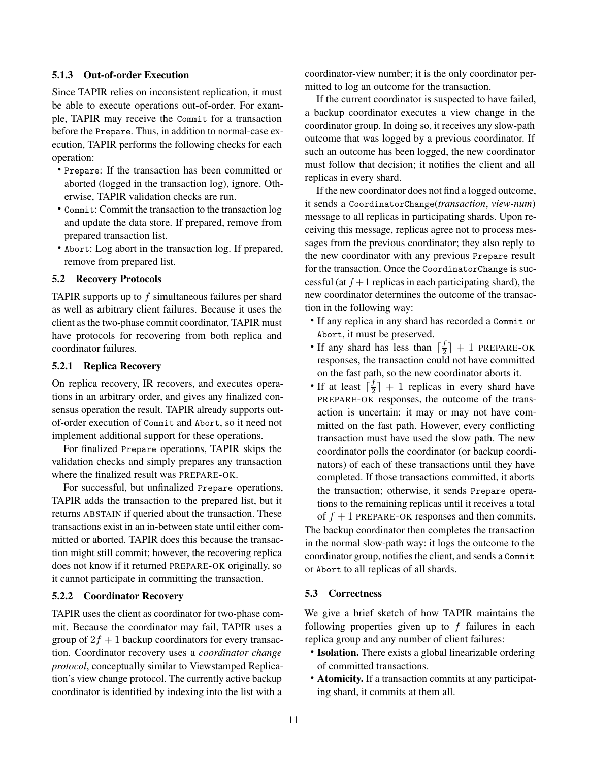## 5.1.3 Out-of-order Execution

Since TAPIR relies on inconsistent replication, it must be able to execute operations out-of-order. For example, TAPIR may receive the Commit for a transaction before the Prepare. Thus, in addition to normal-case execution, TAPIR performs the following checks for each operation:

- Prepare: If the transaction has been committed or aborted (logged in the transaction log), ignore. Otherwise, TAPIR validation checks are run.
- Commit: Commit the transaction to the transaction log and update the data store. If prepared, remove from prepared transaction list.
- Abort: Log abort in the transaction log. If prepared, remove from prepared list.

### 5.2 Recovery Protocols

TAPIR supports up to  $f$  simultaneous failures per shard as well as arbitrary client failures. Because it uses the client as the two-phase commit coordinator, TAPIR must have protocols for recovering from both replica and coordinator failures.

#### 5.2.1 Replica Recovery

On replica recovery, IR recovers, and executes operations in an arbitrary order, and gives any finalized consensus operation the result. TAPIR already supports outof-order execution of Commit and Abort, so it need not implement additional support for these operations.

For finalized Prepare operations, TAPIR skips the validation checks and simply prepares any transaction where the finalized result was PREPARE-OK.

For successful, but unfinalized Prepare operations, TAPIR adds the transaction to the prepared list, but it returns ABSTAIN if queried about the transaction. These transactions exist in an in-between state until either committed or aborted. TAPIR does this because the transaction might still commit; however, the recovering replica does not know if it returned PREPARE-OK originally, so it cannot participate in committing the transaction.

## 5.2.2 Coordinator Recovery

TAPIR uses the client as coordinator for two-phase commit. Because the coordinator may fail, TAPIR uses a group of  $2f + 1$  backup coordinators for every transaction. Coordinator recovery uses a *coordinator change protocol*, conceptually similar to Viewstamped Replication's view change protocol. The currently active backup coordinator is identified by indexing into the list with a coordinator-view number; it is the only coordinator permitted to log an outcome for the transaction.

If the current coordinator is suspected to have failed, a backup coordinator executes a view change in the coordinator group. In doing so, it receives any slow-path outcome that was logged by a previous coordinator. If such an outcome has been logged, the new coordinator must follow that decision; it notifies the client and all replicas in every shard.

If the new coordinator does not find a logged outcome, it sends a CoordinatorChange(*transaction*, *view-num*) message to all replicas in participating shards. Upon receiving this message, replicas agree not to process messages from the previous coordinator; they also reply to the new coordinator with any previous Prepare result for the transaction. Once the CoordinatorChange is successful (at  $f + 1$  replicas in each participating shard), the new coordinator determines the outcome of the transaction in the following way:

- If any replica in any shard has recorded a Commit or Abort, it must be preserved.
- If any shard has less than  $\lceil \frac{f}{2} \rceil$  $\left\lfloor \frac{J}{2} \right\rfloor + 1$  PREPARE-OK responses, the transaction could not have committed on the fast path, so the new coordinator aborts it.
- If at least  $\int_2^f \frac{f}{2}$  $\frac{f}{2}$  + 1 replicas in every shard have PREPARE-OK responses, the outcome of the transaction is uncertain: it may or may not have committed on the fast path. However, every conflicting transaction must have used the slow path. The new coordinator polls the coordinator (or backup coordinators) of each of these transactions until they have completed. If those transactions committed, it aborts the transaction; otherwise, it sends Prepare operations to the remaining replicas until it receives a total

of  $f + 1$  PREPARE-OK responses and then commits. The backup coordinator then completes the transaction in the normal slow-path way: it logs the outcome to the coordinator group, notifies the client, and sends a Commit or Abort to all replicas of all shards.

## 5.3 Correctness

We give a brief sketch of how TAPIR maintains the following properties given up to  $f$  failures in each replica group and any number of client failures:

- Isolation. There exists a global linearizable ordering of committed transactions.
- Atomicity. If a transaction commits at any participating shard, it commits at them all.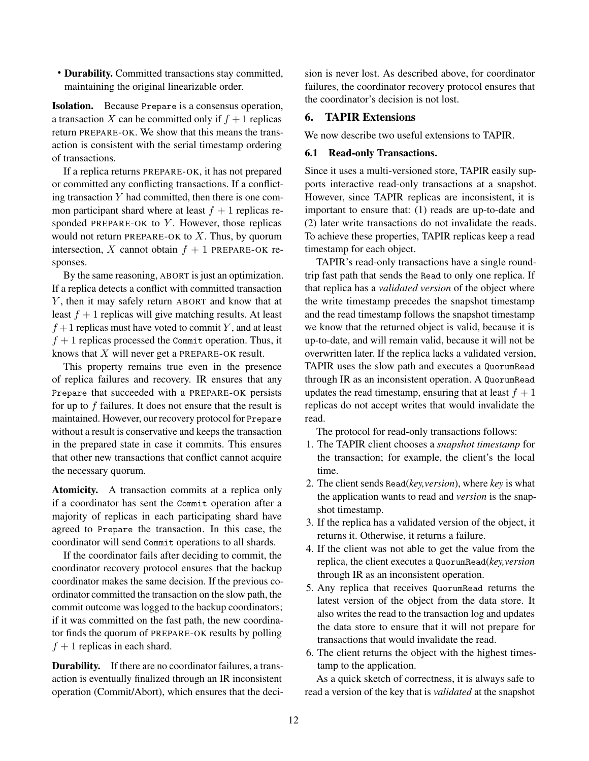• Durability. Committed transactions stay committed, maintaining the original linearizable order.

Isolation. Because Prepare is a consensus operation, a transaction X can be committed only if  $f + 1$  replicas return PREPARE-OK. We show that this means the transaction is consistent with the serial timestamp ordering of transactions.

If a replica returns PREPARE-OK, it has not prepared or committed any conflicting transactions. If a conflicting transaction  $Y$  had committed, then there is one common participant shard where at least  $f + 1$  replicas responded PREPARE-OK to  $Y$ . However, those replicas would not return PREPARE-OK to  $X$ . Thus, by quorum intersection, X cannot obtain  $f + 1$  PREPARE-OK responses.

By the same reasoning, ABORT is just an optimization. If a replica detects a conflict with committed transaction Y, then it may safely return ABORT and know that at least  $f + 1$  replicas will give matching results. At least  $f+1$  replicas must have voted to commit Y, and at least  $f + 1$  replicas processed the Commit operation. Thus, it knows that X will never get a PREPARE-OK result.

This property remains true even in the presence of replica failures and recovery. IR ensures that any Prepare that succeeded with a PREPARE-OK persists for up to  $f$  failures. It does not ensure that the result is maintained. However, our recovery protocol for Prepare without a result is conservative and keeps the transaction in the prepared state in case it commits. This ensures that other new transactions that conflict cannot acquire the necessary quorum.

Atomicity. A transaction commits at a replica only if a coordinator has sent the Commit operation after a majority of replicas in each participating shard have agreed to Prepare the transaction. In this case, the coordinator will send Commit operations to all shards.

If the coordinator fails after deciding to commit, the coordinator recovery protocol ensures that the backup coordinator makes the same decision. If the previous coordinator committed the transaction on the slow path, the commit outcome was logged to the backup coordinators; if it was committed on the fast path, the new coordinator finds the quorum of PREPARE-OK results by polling  $f + 1$  replicas in each shard.

Durability. If there are no coordinator failures, a transaction is eventually finalized through an IR inconsistent operation (Commit/Abort), which ensures that the deci-

sion is never lost. As described above, for coordinator failures, the coordinator recovery protocol ensures that the coordinator's decision is not lost.

# <span id="page-11-0"></span>6. TAPIR Extensions

We now describe two useful extensions to TAPIR.

# 6.1 Read-only Transactions.

Since it uses a multi-versioned store, TAPIR easily supports interactive read-only transactions at a snapshot. However, since TAPIR replicas are inconsistent, it is important to ensure that: (1) reads are up-to-date and (2) later write transactions do not invalidate the reads. To achieve these properties, TAPIR replicas keep a read timestamp for each object.

TAPIR's read-only transactions have a single roundtrip fast path that sends the Read to only one replica. If that replica has a *validated version* of the object where the write timestamp precedes the snapshot timestamp and the read timestamp follows the snapshot timestamp we know that the returned object is valid, because it is up-to-date, and will remain valid, because it will not be overwritten later. If the replica lacks a validated version, TAPIR uses the slow path and executes a QuorumRead through IR as an inconsistent operation. A QuorumRead updates the read timestamp, ensuring that at least  $f + 1$ replicas do not accept writes that would invalidate the read.

The protocol for read-only transactions follows:

- 1. The TAPIR client chooses a *snapshot timestamp* for the transaction; for example, the client's the local time.
- 2. The client sends Read(*key,version*), where *key* is what the application wants to read and *version* is the snapshot timestamp.
- 3. If the replica has a validated version of the object, it returns it. Otherwise, it returns a failure.
- 4. If the client was not able to get the value from the replica, the client executes a QuorumRead(*key,version* through IR as an inconsistent operation.
- 5. Any replica that receives QuorumRead returns the latest version of the object from the data store. It also writes the read to the transaction log and updates the data store to ensure that it will not prepare for transactions that would invalidate the read.
- 6. The client returns the object with the highest timestamp to the application.

As a quick sketch of correctness, it is always safe to read a version of the key that is *validated* at the snapshot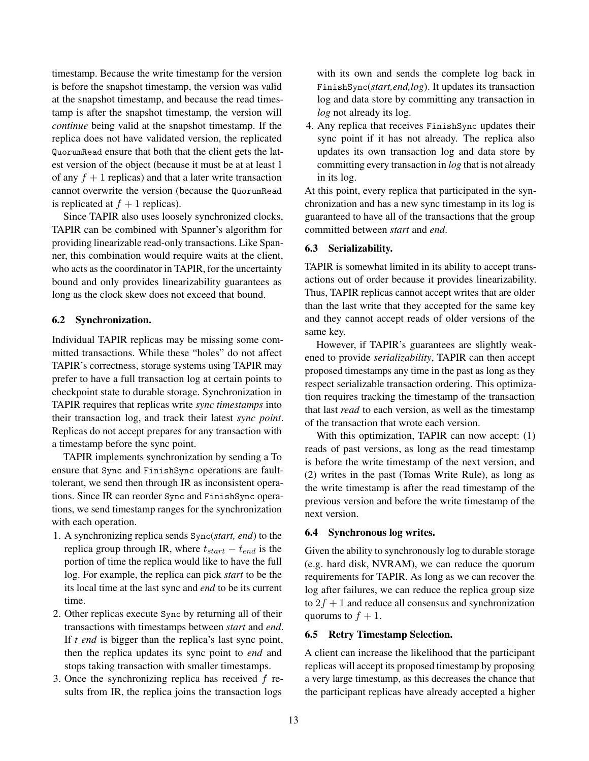timestamp. Because the write timestamp for the version is before the snapshot timestamp, the version was valid at the snapshot timestamp, and because the read timestamp is after the snapshot timestamp, the version will *continue* being valid at the snapshot timestamp. If the replica does not have validated version, the replicated QuorumRead ensure that both that the client gets the latest version of the object (because it must be at at least 1 of any  $f + 1$  replicas) and that a later write transaction cannot overwrite the version (because the QuorumRead is replicated at  $f + 1$  replicas).

Since TAPIR also uses loosely synchronized clocks, TAPIR can be combined with Spanner's algorithm for providing linearizable read-only transactions. Like Spanner, this combination would require waits at the client, who acts as the coordinator in TAPIR, for the uncertainty bound and only provides linearizability guarantees as long as the clock skew does not exceed that bound.

## 6.2 Synchronization.

Individual TAPIR replicas may be missing some committed transactions. While these "holes" do not affect TAPIR's correctness, storage systems using TAPIR may prefer to have a full transaction log at certain points to checkpoint state to durable storage. Synchronization in TAPIR requires that replicas write *sync timestamps* into their transaction log, and track their latest *sync point*. Replicas do not accept prepares for any transaction with a timestamp before the sync point.

TAPIR implements synchronization by sending a To ensure that Sync and FinishSync operations are faulttolerant, we send then through IR as inconsistent operations. Since IR can reorder Sync and FinishSync operations, we send timestamp ranges for the synchronization with each operation.

- 1. A synchronizing replica sends Sync(*start, end*) to the replica group through IR, where  $t_{start} - t_{end}$  is the portion of time the replica would like to have the full log. For example, the replica can pick *start* to be the its local time at the last sync and *end* to be its current time.
- 2. Other replicas execute Sync by returning all of their transactions with timestamps between *start* and *end*. If *t\_end* is bigger than the replica's last sync point, then the replica updates its sync point to *end* and stops taking transaction with smaller timestamps.
- 3. Once the synchronizing replica has received  $f$  results from IR, the replica joins the transaction logs

with its own and sends the complete log back in FinishSync(*start,end,log*). It updates its transaction log and data store by committing any transaction in *log* not already its log.

4. Any replica that receives FinishSync updates their sync point if it has not already. The replica also updates its own transaction log and data store by committing every transaction in *log* that is not already in its log.

At this point, every replica that participated in the synchronization and has a new sync timestamp in its log is guaranteed to have all of the transactions that the group committed between *start* and *end*.

# 6.3 Serializability.

TAPIR is somewhat limited in its ability to accept transactions out of order because it provides linearizability. Thus, TAPIR replicas cannot accept writes that are older than the last write that they accepted for the same key and they cannot accept reads of older versions of the same key.

However, if TAPIR's guarantees are slightly weakened to provide *serializability*, TAPIR can then accept proposed timestamps any time in the past as long as they respect serializable transaction ordering. This optimization requires tracking the timestamp of the transaction that last *read* to each version, as well as the timestamp of the transaction that wrote each version.

With this optimization, TAPIR can now accept: (1) reads of past versions, as long as the read timestamp is before the write timestamp of the next version, and (2) writes in the past (Tomas Write Rule), as long as the write timestamp is after the read timestamp of the previous version and before the write timestamp of the next version.

## 6.4 Synchronous log writes.

Given the ability to synchronously log to durable storage (e.g. hard disk, NVRAM), we can reduce the quorum requirements for TAPIR. As long as we can recover the log after failures, we can reduce the replica group size to  $2f + 1$  and reduce all consensus and synchronization quorums to  $f + 1$ .

## 6.5 Retry Timestamp Selection.

A client can increase the likelihood that the participant replicas will accept its proposed timestamp by proposing a very large timestamp, as this decreases the chance that the participant replicas have already accepted a higher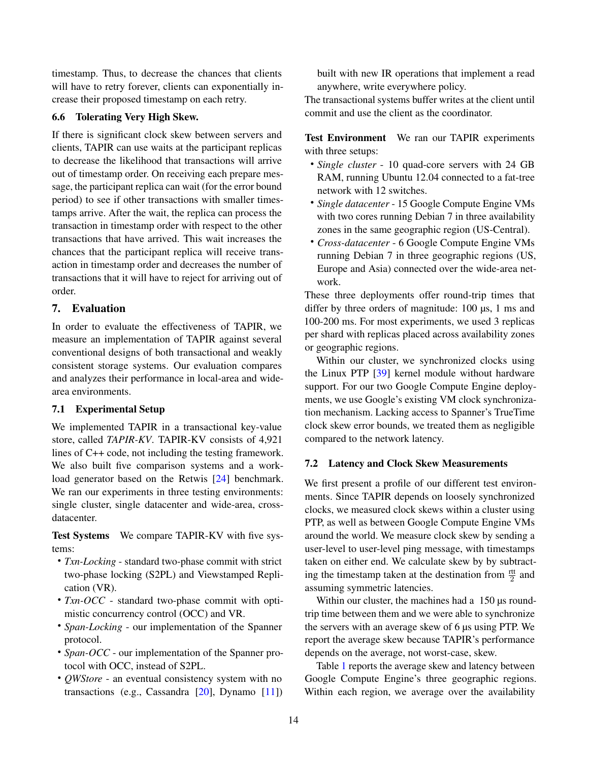timestamp. Thus, to decrease the chances that clients will have to retry forever, clients can exponentially increase their proposed timestamp on each retry.

# 6.6 Tolerating Very High Skew.

If there is significant clock skew between servers and clients, TAPIR can use waits at the participant replicas to decrease the likelihood that transactions will arrive out of timestamp order. On receiving each prepare message, the participant replica can wait (for the error bound period) to see if other transactions with smaller timestamps arrive. After the wait, the replica can process the transaction in timestamp order with respect to the other transactions that have arrived. This wait increases the chances that the participant replica will receive transaction in timestamp order and decreases the number of transactions that it will have to reject for arriving out of order.

# <span id="page-13-0"></span>7. Evaluation

In order to evaluate the effectiveness of TAPIR, we measure an implementation of TAPIR against several conventional designs of both transactional and weakly consistent storage systems. Our evaluation compares and analyzes their performance in local-area and widearea environments.

#### 7.1 Experimental Setup

We implemented TAPIR in a transactional key-value store, called *TAPIR-KV*. TAPIR-KV consists of 4,921 lines of C++ code, not including the testing framework. We also built five comparison systems and a workload generator based on the Retwis [\[24\]](#page-17-18) benchmark. We ran our experiments in three testing environments: single cluster, single datacenter and wide-area, crossdatacenter.

Test Systems We compare TAPIR-KV with five systems:

- *Txn-Locking* standard two-phase commit with strict two-phase locking (S2PL) and Viewstamped Replication (VR).
- *Txn-OCC* standard two-phase commit with optimistic concurrency control (OCC) and VR.
- *Span-Locking* our implementation of the Spanner protocol.
- *Span-OCC* our implementation of the Spanner protocol with OCC, instead of S2PL.
- *QWStore* an eventual consistency system with no transactions (e.g., Cassandra [\[20\]](#page-17-19), Dynamo [\[11\]](#page-17-20))

built with new IR operations that implement a read anywhere, write everywhere policy.

The transactional systems buffer writes at the client until commit and use the client as the coordinator.

Test Environment We ran our TAPIR experiments with three setups:

- *Single cluster* 10 quad-core servers with 24 GB RAM, running Ubuntu 12.04 connected to a fat-tree network with 12 switches.
- *Single datacenter* 15 Google Compute Engine VMs with two cores running Debian 7 in three availability zones in the same geographic region (US-Central).
- *Cross-datacenter* 6 Google Compute Engine VMs running Debian 7 in three geographic regions (US, Europe and Asia) connected over the wide-area network.

These three deployments offer round-trip times that differ by three orders of magnitude: 100 µs, 1 ms and 100-200 ms. For most experiments, we used 3 replicas per shard with replicas placed across availability zones or geographic regions.

Within our cluster, we synchronized clocks using the Linux PTP [\[39\]](#page-18-14) kernel module without hardware support. For our two Google Compute Engine deployments, we use Google's existing VM clock synchronization mechanism. Lacking access to Spanner's TrueTime clock skew error bounds, we treated them as negligible compared to the network latency.

#### 7.2 Latency and Clock Skew Measurements

We first present a profile of our different test environments. Since TAPIR depends on loosely synchronized clocks, we measured clock skews within a cluster using PTP, as well as between Google Compute Engine VMs around the world. We measure clock skew by sending a user-level to user-level ping message, with timestamps taken on either end. We calculate skew by by subtracting the timestamp taken at the destination from  $\frac{ntt}{2}$  and assuming symmetric latencies.

Within our cluster, the machines had a 150 us roundtrip time between them and we were able to synchronize the servers with an average skew of 6 µs using PTP. We report the average skew because TAPIR's performance depends on the average, not worst-case, skew.

Table [1](#page-14-0) reports the average skew and latency between Google Compute Engine's three geographic regions. Within each region, we average over the availability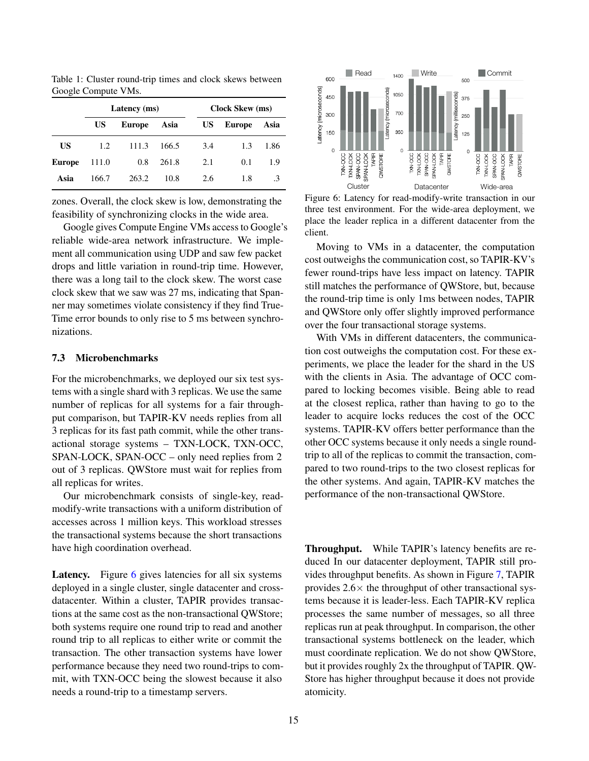|           | Latency (ms) |               |       |     | <b>Clock Skew (ms)</b> |      |  |
|-----------|--------------|---------------|-------|-----|------------------------|------|--|
|           | US           | <b>Europe</b> | Asia  | US  | <b>Europe</b>          | Asia |  |
| <b>US</b> | 1.2          | 111.3         | 166.5 | 3.4 | 1.3                    | 1.86 |  |
| Europe    | 111.0        | 0.8           | 261.8 | 2.1 | 0.1                    | 1.9  |  |
| Asia      | 166.7        | 263.2         | 10.8  | 2.6 | 1.8                    | .3   |  |

<span id="page-14-0"></span>Table 1: Cluster round-trip times and clock skews between Google Compute VMs.

zones. Overall, the clock skew is low, demonstrating the feasibility of synchronizing clocks in the wide area.

Google gives Compute Engine VMs access to Google's reliable wide-area network infrastructure. We implement all communication using UDP and saw few packet drops and little variation in round-trip time. However, there was a long tail to the clock skew. The worst case clock skew that we saw was 27 ms, indicating that Spanner may sometimes violate consistency if they find True-Time error bounds to only rise to 5 ms between synchronizations.

### 7.3 Microbenchmarks

For the microbenchmarks, we deployed our six test systems with a single shard with 3 replicas. We use the same number of replicas for all systems for a fair throughput comparison, but TAPIR-KV needs replies from all 3 replicas for its fast path commit, while the other transactional storage systems – TXN-LOCK, TXN-OCC, SPAN-LOCK, SPAN-OCC – only need replies from 2 out of 3 replicas. QWStore must wait for replies from all replicas for writes.

Our microbenchmark consists of single-key, readmodify-write transactions with a uniform distribution of accesses across 1 million keys. This workload stresses the transactional systems because the short transactions have high coordination overhead.

Latency. Figure [6](#page-14-1) gives latencies for all six systems deployed in a single cluster, single datacenter and crossdatacenter. Within a cluster, TAPIR provides transactions at the same cost as the non-transactional QWStore; both systems require one round trip to read and another round trip to all replicas to either write or commit the transaction. The other transaction systems have lower performance because they need two round-trips to commit, with TXN-OCC being the slowest because it also needs a round-trip to a timestamp servers.

<span id="page-14-1"></span>

Figure 6: Latency for read-modify-write transaction in our three test environment. For the wide-area deployment, we place the leader replica in a different datacenter from the client.

Moving to VMs in a datacenter, the computation cost outweighs the communication cost, so TAPIR-KV's fewer round-trips have less impact on latency. TAPIR still matches the performance of QWStore, but, because the round-trip time is only 1ms between nodes, TAPIR and QWStore only offer slightly improved performance over the four transactional storage systems.

With VMs in different datacenters, the communication cost outweighs the computation cost. For these experiments, we place the leader for the shard in the US with the clients in Asia. The advantage of OCC compared to locking becomes visible. Being able to read at the closest replica, rather than having to go to the leader to acquire locks reduces the cost of the OCC systems. TAPIR-KV offers better performance than the other OCC systems because it only needs a single roundtrip to all of the replicas to commit the transaction, compared to two round-trips to the two closest replicas for the other systems. And again, TAPIR-KV matches the performance of the non-transactional QWStore.

Throughput. While TAPIR's latency benefits are reduced In our datacenter deployment, TAPIR still provides throughput benefits. As shown in Figure [7,](#page-15-0) TAPIR provides  $2.6\times$  the throughput of other transactional systems because it is leader-less. Each TAPIR-KV replica processes the same number of messages, so all three replicas run at peak throughput. In comparison, the other transactional systems bottleneck on the leader, which must coordinate replication. We do not show QWStore, but it provides roughly 2x the throughput of TAPIR. QW-Store has higher throughput because it does not provide atomicity.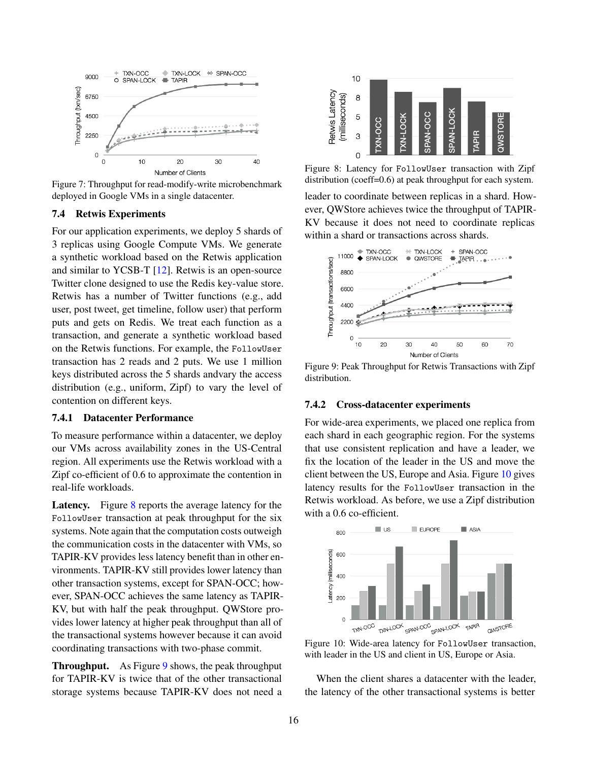<span id="page-15-0"></span>

Figure 7: Throughput for read-modify-write microbenchmark deployed in Google VMs in a single datacenter.

### 7.4 Retwis Experiments

For our application experiments, we deploy 5 shards of 3 replicas using Google Compute VMs. We generate a synthetic workload based on the Retwis application and similar to YCSB-T [\[12\]](#page-17-21). Retwis is an open-source Twitter clone designed to use the Redis key-value store. Retwis has a number of Twitter functions (e.g., add user, post tweet, get timeline, follow user) that perform puts and gets on Redis. We treat each function as a transaction, and generate a synthetic workload based on the Retwis functions. For example, the FollowUser transaction has 2 reads and 2 puts. We use 1 million keys distributed across the 5 shards andvary the access distribution (e.g., uniform, Zipf) to vary the level of contention on different keys.

## 7.4.1 Datacenter Performance

To measure performance within a datacenter, we deploy our VMs across availability zones in the US-Central region. All experiments use the Retwis workload with a Zipf co-efficient of 0.6 to approximate the contention in real-life workloads.

Latency. Figure [8](#page-15-1) reports the average latency for the FollowUser transaction at peak throughput for the six systems. Note again that the computation costs outweigh the communication costs in the datacenter with VMs, so TAPIR-KV provides less latency benefit than in other environments. TAPIR-KV still provides lower latency than other transaction systems, except for SPAN-OCC; however, SPAN-OCC achieves the same latency as TAPIR-KV, but with half the peak throughput. QWStore provides lower latency at higher peak throughput than all of the transactional systems however because it can avoid coordinating transactions with two-phase commit.

Throughput. As Figure [9](#page-15-2) shows, the peak throughput for TAPIR-KV is twice that of the other transactional storage systems because TAPIR-KV does not need a

<span id="page-15-1"></span>

Figure 8: Latency for FollowUser transaction with Zipf distribution (coeff=0.6) at peak throughput for each system.

leader to coordinate between replicas in a shard. However, QWStore achieves twice the throughput of TAPIR-KV because it does not need to coordinate replicas within a shard or transactions across shards.

<span id="page-15-2"></span>

Figure 9: Peak Throughput for Retwis Transactions with Zipf distribution.

#### 7.4.2 Cross-datacenter experiments

For wide-area experiments, we placed one replica from each shard in each geographic region. For the systems that use consistent replication and have a leader, we fix the location of the leader in the US and move the client between the US, Europe and Asia. Figure [10](#page-15-3) gives latency results for the FollowUser transaction in the Retwis workload. As before, we use a Zipf distribution with a 0.6 co-efficient.

<span id="page-15-3"></span>

Figure 10: Wide-area latency for FollowUser transaction, with leader in the US and client in US, Europe or Asia.

When the client shares a datacenter with the leader, the latency of the other transactional systems is better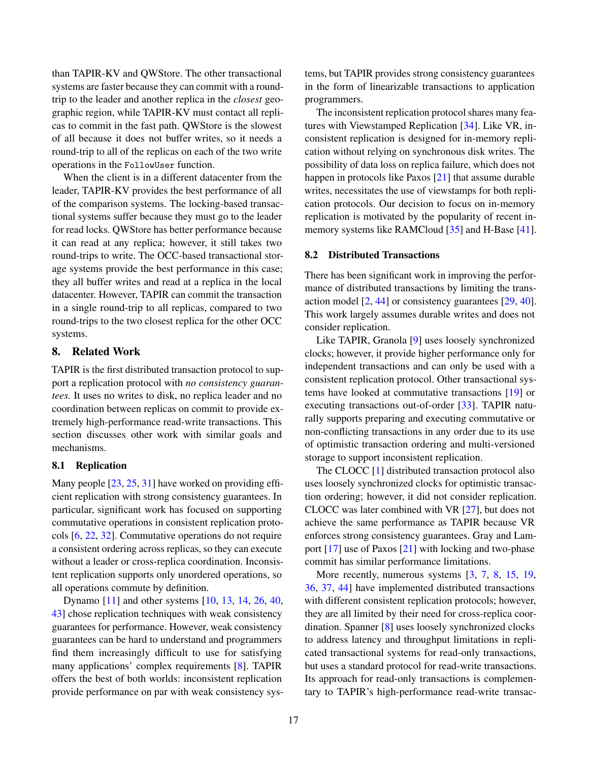than TAPIR-KV and QWStore. The other transactional systems are faster because they can commit with a roundtrip to the leader and another replica in the *closest* geographic region, while TAPIR-KV must contact all replicas to commit in the fast path. QWStore is the slowest of all because it does not buffer writes, so it needs a round-trip to all of the replicas on each of the two write operations in the FollowUser function.

When the client is in a different datacenter from the leader, TAPIR-KV provides the best performance of all of the comparison systems. The locking-based transactional systems suffer because they must go to the leader for read locks. QWStore has better performance because it can read at any replica; however, it still takes two round-trips to write. The OCC-based transactional storage systems provide the best performance in this case; they all buffer writes and read at a replica in the local datacenter. However, TAPIR can commit the transaction in a single round-trip to all replicas, compared to two round-trips to the two closest replica for the other OCC systems.

# 8. Related Work

TAPIR is the first distributed transaction protocol to support a replication protocol with *no consistency guarantees.* It uses no writes to disk, no replica leader and no coordination between replicas on commit to provide extremely high-performance read-write transactions. This section discusses other work with similar goals and mechanisms.

#### 8.1 Replication

Many people [\[23,](#page-17-11) [25,](#page-17-12) [31\]](#page-18-10) have worked on providing efficient replication with strong consistency guarantees. In particular, significant work has focused on supporting commutative operations in consistent replication protocols [\[6,](#page-17-13) [22,](#page-17-14) [32\]](#page-18-11). Commutative operations do not require a consistent ordering across replicas, so they can execute without a leader or cross-replica coordination. Inconsistent replication supports only unordered operations, so all operations commute by definition.

Dynamo [\[11\]](#page-17-20) and other systems [\[10,](#page-17-22) [13,](#page-17-23) [14,](#page-17-24) [26,](#page-18-16) [40,](#page-18-4) [43\]](#page-18-17) chose replication techniques with weak consistency guarantees for performance. However, weak consistency guarantees can be hard to understand and programmers find them increasingly difficult to use for satisfying many applications' complex requirements [\[8\]](#page-17-4). TAPIR offers the best of both worlds: inconsistent replication provide performance on par with weak consistency systems, but TAPIR provides strong consistency guarantees in the form of linearizable transactions to application programmers.

The inconsistent replication protocol shares many features with Viewstamped Replication [\[34\]](#page-18-9). Like VR, inconsistent replication is designed for in-memory replication without relying on synchronous disk writes. The possibility of data loss on replica failure, which does not happen in protocols like Paxos [\[21\]](#page-17-5) that assume durable writes, necessitates the use of viewstamps for both replication protocols. Our decision to focus on in-memory replication is motivated by the popularity of recent in-memory systems like RAMCloud [\[35\]](#page-18-5) and H-Base [\[41\]](#page-18-6).

### 8.2 Distributed Transactions

There has been significant work in improving the performance of distributed transactions by limiting the transaction model [\[2,](#page-17-7) [44\]](#page-18-2) or consistency guarantees [\[29,](#page-18-3) [40\]](#page-18-4). This work largely assumes durable writes and does not consider replication.

Like TAPIR, Granola [\[9\]](#page-17-6) uses loosely synchronized clocks; however, it provide higher performance only for independent transactions and can only be used with a consistent replication protocol. Other transactional systems have looked at commutative transactions [\[19\]](#page-17-3) or executing transactions out-of-order [\[33\]](#page-18-0). TAPIR naturally supports preparing and executing commutative or non-conflicting transactions in any order due to its use of optimistic transaction ordering and multi-versioned storage to support inconsistent replication.

The CLOCC [\[1\]](#page-17-16) distributed transaction protocol also uses loosely synchronized clocks for optimistic transaction ordering; however, it did not consider replication. CLOCC was later combined with VR [\[27\]](#page-18-7), but does not achieve the same performance as TAPIR because VR enforces strong consistency guarantees. Gray and Lamport [\[17\]](#page-17-8) use of Paxos [\[21\]](#page-17-5) with locking and two-phase commit has similar performance limitations.

More recently, numerous systems  $[3, 7, 8, 15, 19,$  $[3, 7, 8, 15, 19,$  $[3, 7, 8, 15, 19,$  $[3, 7, 8, 15, 19,$  $[3, 7, 8, 15, 19,$  $[3, 7, 8, 15, 19,$  $[3, 7, 8, 15, 19,$  $[3, 7, 8, 15, 19,$  $[3, 7, 8, 15, 19,$ [36,](#page-18-8) [37,](#page-18-18) [44\]](#page-18-2) have implemented distributed transactions with different consistent replication protocols; however, they are all limited by their need for cross-replica coordination. Spanner [\[8\]](#page-17-4) uses loosely synchronized clocks to address latency and throughput limitations in replicated transactional systems for read-only transactions, but uses a standard protocol for read-write transactions. Its approach for read-only transactions is complementary to TAPIR's high-performance read-write transac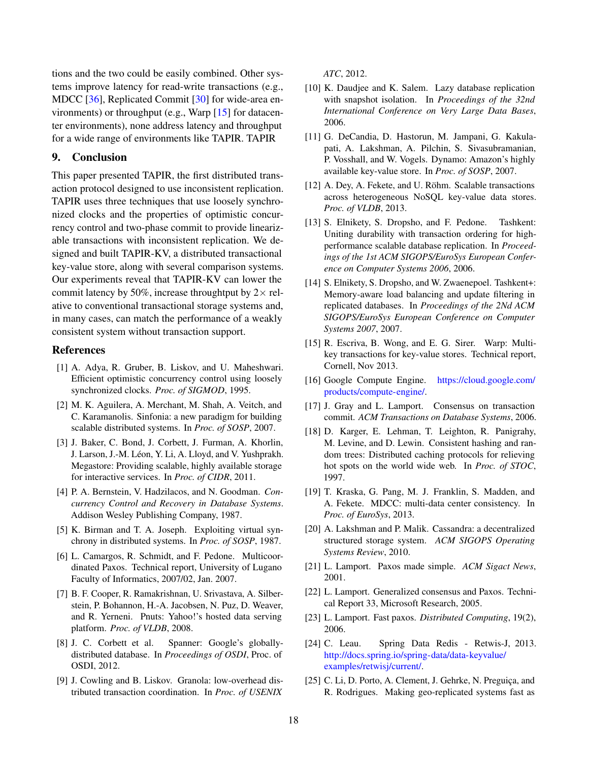tions and the two could be easily combined. Other systems improve latency for read-write transactions (e.g., MDCC [\[36\]](#page-18-8), Replicated Commit [\[30\]](#page-18-1) for wide-area environments) or throughput (e.g., Warp [\[15\]](#page-17-2) for datacenter environments), none address latency and throughput for a wide range of environments like TAPIR. TAPIR

## 9. Conclusion

This paper presented TAPIR, the first distributed transaction protocol designed to use inconsistent replication. TAPIR uses three techniques that use loosely synchronized clocks and the properties of optimistic concurrency control and two-phase commit to provide linearizable transactions with inconsistent replication. We designed and built TAPIR-KV, a distributed transactional key-value store, along with several comparison systems. Our experiments reveal that TAPIR-KV can lower the commit latency by 50%, increase throughtput by  $2 \times$  relative to conventional transactional storage systems and, in many cases, can match the performance of a weakly consistent system without transaction support.

#### **References**

- <span id="page-17-16"></span>[1] A. Adya, R. Gruber, B. Liskov, and U. Maheshwari. Efficient optimistic concurrency control using loosely synchronized clocks. *Proc. of SIGMOD*, 1995.
- <span id="page-17-7"></span>[2] M. K. Aguilera, A. Merchant, M. Shah, A. Veitch, and C. Karamanolis. Sinfonia: a new paradigm for building scalable distributed systems. In *Proc. of SOSP*, 2007.
- <span id="page-17-0"></span>[3] J. Baker, C. Bond, J. Corbett, J. Furman, A. Khorlin, J. Larson, J.-M. Léon, Y. Li, A. Lloyd, and V. Yushprakh. Megastore: Providing scalable, highly available storage for interactive services. In *Proc. of CIDR*, 2011.
- <span id="page-17-9"></span>[4] P. A. Bernstein, V. Hadzilacos, and N. Goodman. *Concurrency Control and Recovery in Database Systems*. Addison Wesley Publishing Company, 1987.
- <span id="page-17-10"></span>[5] K. Birman and T. A. Joseph. Exploiting virtual synchrony in distributed systems. In *Proc. of SOSP*, 1987.
- <span id="page-17-13"></span>[6] L. Camargos, R. Schmidt, and F. Pedone. Multicoordinated Paxos. Technical report, University of Lugano Faculty of Informatics, 2007/02, Jan. 2007.
- <span id="page-17-1"></span>[7] B. F. Cooper, R. Ramakrishnan, U. Srivastava, A. Silberstein, P. Bohannon, H.-A. Jacobsen, N. Puz, D. Weaver, and R. Yerneni. Pnuts: Yahoo!'s hosted data serving platform. *Proc. of VLDB*, 2008.
- <span id="page-17-4"></span>[8] J. C. Corbett et al. Spanner: Google's globallydistributed database. In *Proceedings of OSDI*, Proc. of OSDI, 2012.
- <span id="page-17-6"></span>[9] J. Cowling and B. Liskov. Granola: low-overhead distributed transaction coordination. In *Proc. of USENIX*

*ATC*, 2012.

- <span id="page-17-22"></span>[10] K. Daudjee and K. Salem. Lazy database replication with snapshot isolation. In *Proceedings of the 32nd International Conference on Very Large Data Bases*, 2006.
- <span id="page-17-20"></span>[11] G. DeCandia, D. Hastorun, M. Jampani, G. Kakulapati, A. Lakshman, A. Pilchin, S. Sivasubramanian, P. Vosshall, and W. Vogels. Dynamo: Amazon's highly available key-value store. In *Proc. of SOSP*, 2007.
- <span id="page-17-21"></span>[12] A. Dey, A. Fekete, and U. Röhm. Scalable transactions across heterogeneous NoSQL key-value data stores. *Proc. of VLDB*, 2013.
- <span id="page-17-23"></span>[13] S. Elnikety, S. Dropsho, and F. Pedone. Tashkent: Uniting durability with transaction ordering for highperformance scalable database replication. In *Proceedings of the 1st ACM SIGOPS/EuroSys European Conference on Computer Systems 2006*, 2006.
- <span id="page-17-24"></span>[14] S. Elnikety, S. Dropsho, and W. Zwaenepoel. Tashkent+: Memory-aware load balancing and update filtering in replicated databases. In *Proceedings of the 2Nd ACM SIGOPS/EuroSys European Conference on Computer Systems 2007*, 2007.
- <span id="page-17-2"></span>[15] R. Escriva, B. Wong, and E. G. Sirer. Warp: Multikey transactions for key-value stores. Technical report, Cornell, Nov 2013.
- <span id="page-17-17"></span>[16] Google Compute Engine. [https://cloud.google.com/](https://cloud.google.com/products/compute-engine/) [products/compute-engine/.](https://cloud.google.com/products/compute-engine/)
- <span id="page-17-8"></span>[17] J. Gray and L. Lamport. Consensus on transaction commit. *ACM Transactions on Database Systems*, 2006.
- <span id="page-17-15"></span>[18] D. Karger, E. Lehman, T. Leighton, R. Panigrahy, M. Levine, and D. Lewin. Consistent hashing and random trees: Distributed caching protocols for relieving hot spots on the world wide web. In *Proc. of STOC*, 1997.
- <span id="page-17-3"></span>[19] T. Kraska, G. Pang, M. J. Franklin, S. Madden, and A. Fekete. MDCC: multi-data center consistency. In *Proc. of EuroSys*, 2013.
- <span id="page-17-19"></span>[20] A. Lakshman and P. Malik. Cassandra: a decentralized structured storage system. *ACM SIGOPS Operating Systems Review*, 2010.
- <span id="page-17-5"></span>[21] L. Lamport. Paxos made simple. *ACM Sigact News*, 2001.
- <span id="page-17-14"></span>[22] L. Lamport. Generalized consensus and Paxos. Technical Report 33, Microsoft Research, 2005.
- <span id="page-17-11"></span>[23] L. Lamport. Fast paxos. *Distributed Computing*, 19(2), 2006.
- <span id="page-17-18"></span>[24] C. Leau. Spring Data Redis - Retwis-J, 2013. [http://docs.spring.io/spring-data/data-keyvalue/]( http://docs.spring.io/spring-data/data-keyvalue/examples/retwisj/current/) [examples/retwisj/current/.]( http://docs.spring.io/spring-data/data-keyvalue/examples/retwisj/current/)
- <span id="page-17-12"></span>[25] C. Li, D. Porto, A. Clement, J. Gehrke, N. Preguiça, and R. Rodrigues. Making geo-replicated systems fast as